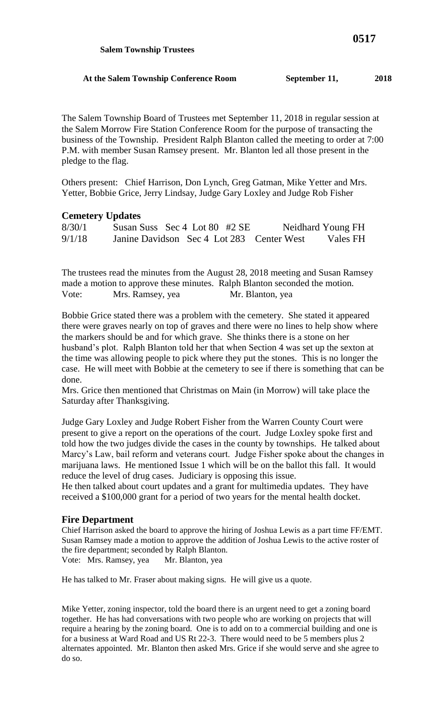The Salem Township Board of Trustees met September 11, 2018 in regular session at the Salem Morrow Fire Station Conference Room for the purpose of transacting the business of the Township. President Ralph Blanton called the meeting to order at 7:00 P.M. with member Susan Ramsey present. Mr. Blanton led all those present in the pledge to the flag.

Others present: Chief Harrison, Don Lynch, Greg Gatman, Mike Yetter and Mrs. Yetter, Bobbie Grice, Jerry Lindsay, Judge Gary Loxley and Judge Rob Fisher

## **Cemetery Updates**

| 8/30/1 | Susan Suss Sec 4 Lot 80 #2 SE             |  |  | Neidhard Young FH |
|--------|-------------------------------------------|--|--|-------------------|
| 9/1/18 | Janine Davidson Sec 4 Lot 283 Center West |  |  | Vales FH          |

The trustees read the minutes from the August 28, 2018 meeting and Susan Ramsey made a motion to approve these minutes. Ralph Blanton seconded the motion. Vote: Mrs. Ramsey, yea Mr. Blanton, yea

Bobbie Grice stated there was a problem with the cemetery. She stated it appeared there were graves nearly on top of graves and there were no lines to help show where the markers should be and for which grave. She thinks there is a stone on her husband's plot. Ralph Blanton told her that when Section 4 was set up the sexton at the time was allowing people to pick where they put the stones. This is no longer the case. He will meet with Bobbie at the cemetery to see if there is something that can be done.

Mrs. Grice then mentioned that Christmas on Main (in Morrow) will take place the Saturday after Thanksgiving.

Judge Gary Loxley and Judge Robert Fisher from the Warren County Court were present to give a report on the operations of the court. Judge Loxley spoke first and told how the two judges divide the cases in the county by townships. He talked about Marcy's Law, bail reform and veterans court. Judge Fisher spoke about the changes in marijuana laws. He mentioned Issue 1 which will be on the ballot this fall. It would reduce the level of drug cases. Judiciary is opposing this issue.

He then talked about court updates and a grant for multimedia updates. They have received a \$100,000 grant for a period of two years for the mental health docket.

## **Fire Department**

Chief Harrison asked the board to approve the hiring of Joshua Lewis as a part time FF/EMT. Susan Ramsey made a motion to approve the addition of Joshua Lewis to the active roster of the fire department; seconded by Ralph Blanton. Vote: Mrs. Ramsey, yea Mr. Blanton, yea

He has talked to Mr. Fraser about making signs. He will give us a quote.

Mike Yetter, zoning inspector, told the board there is an urgent need to get a zoning board together. He has had conversations with two people who are working on projects that will require a hearing by the zoning board. One is to add on to a commercial building and one is for a business at Ward Road and US Rt 22-3. There would need to be 5 members plus 2 alternates appointed. Mr. Blanton then asked Mrs. Grice if she would serve and she agree to do so.